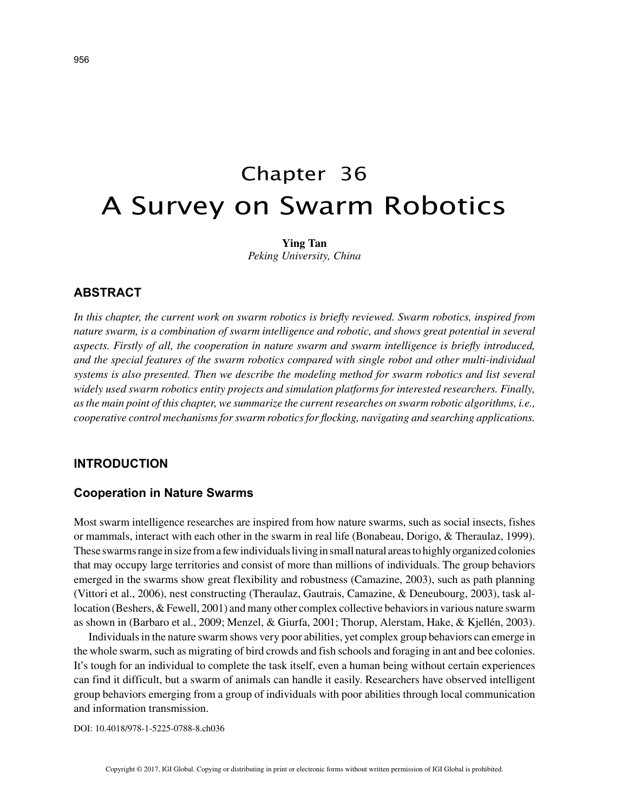# Chapter 36 A Survey on Swarm Robotics

**Ying Tan** *Peking University, China*

# **ABSTRACT**

*In this chapter, the current work on swarm robotics is briefly reviewed. Swarm robotics, inspired from nature swarm, is a combination of swarm intelligence and robotic, and shows great potential in several aspects. Firstly of all, the cooperation in nature swarm and swarm intelligence is briefly introduced, and the special features of the swarm robotics compared with single robot and other multi-individual systems is also presented. Then we describe the modeling method for swarm robotics and list several widely used swarm robotics entity projects and simulation platforms for interested researchers. Finally, as the main point of this chapter, we summarize the current researches on swarm robotic algorithms, i.e., cooperative control mechanisms for swarm robotics for flocking, navigating and searching applications.*

## **INTRODUCTION**

### **Cooperation in Nature Swarms**

Most swarm intelligence researches are inspired from how nature swarms, such as social insects, fishes or mammals, interact with each other in the swarm in real life (Bonabeau, Dorigo, & Theraulaz, 1999). These swarms range in size from a few individuals living in small natural areas to highly organized colonies that may occupy large territories and consist of more than millions of individuals. The group behaviors emerged in the swarms show great flexibility and robustness (Camazine, 2003), such as path planning (Vittori et al., 2006), nest constructing (Theraulaz, Gautrais, Camazine, & Deneubourg, 2003), task allocation (Beshers, & Fewell, 2001) and many other complex collective behaviors in various nature swarm as shown in (Barbaro et al., 2009; Menzel, & Giurfa, 2001; Thorup, Alerstam, Hake, & Kjellén, 2003).

Individuals in the nature swarm shows very poor abilities, yet complex group behaviors can emerge in the whole swarm, such as migrating of bird crowds and fish schools and foraging in ant and bee colonies. It's tough for an individual to complete the task itself, even a human being without certain experiences can find it difficult, but a swarm of animals can handle it easily. Researchers have observed intelligent group behaviors emerging from a group of individuals with poor abilities through local communication and information transmission.

DOI: 10.4018/978-1-5225-0788-8.ch036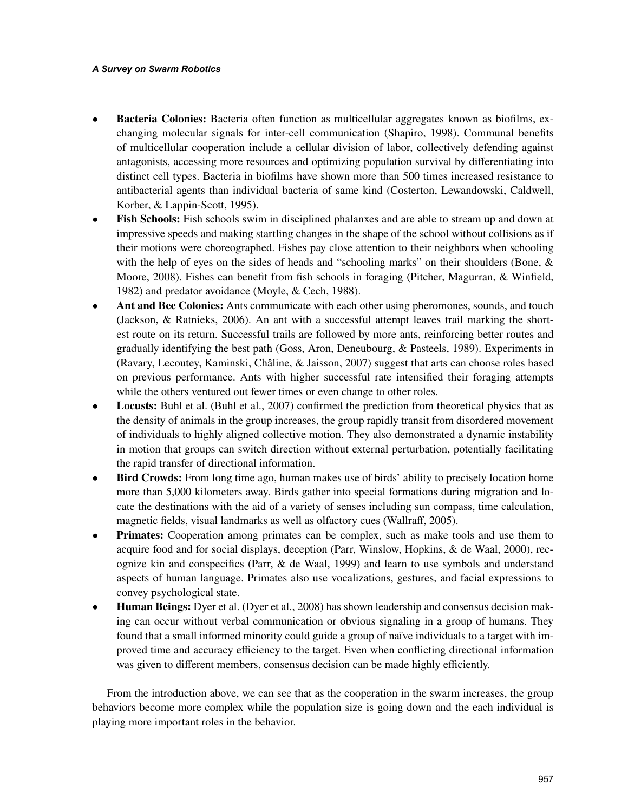#### *A Survey on Swarm Robotics*

- **Bacteria Colonies:** Bacteria often function as multicellular aggregates known as biofilms, exchanging molecular signals for inter-cell communication (Shapiro, 1998). Communal benefits of multicellular cooperation include a cellular division of labor, collectively defending against antagonists, accessing more resources and optimizing population survival by differentiating into distinct cell types. Bacteria in biofilms have shown more than 500 times increased resistance to antibacterial agents than individual bacteria of same kind (Costerton, Lewandowski, Caldwell, Korber, & Lappin-Scott, 1995).
- **Fish Schools:** Fish schools swim in disciplined phalanxes and are able to stream up and down at impressive speeds and making startling changes in the shape of the school without collisions as if their motions were choreographed. Fishes pay close attention to their neighbors when schooling with the help of eyes on the sides of heads and "schooling marks" on their shoulders (Bone,  $\&$ Moore, 2008). Fishes can benefit from fish schools in foraging (Pitcher, Magurran, & Winfield, 1982) and predator avoidance (Moyle, & Cech, 1988).
- **Ant and Bee Colonies:** Ants communicate with each other using pheromones, sounds, and touch (Jackson, & Ratnieks, 2006). An ant with a successful attempt leaves trail marking the shortest route on its return. Successful trails are followed by more ants, reinforcing better routes and gradually identifying the best path (Goss, Aron, Deneubourg, & Pasteels, 1989). Experiments in (Ravary, Lecoutey, Kaminski, Châline, & Jaisson, 2007) suggest that arts can choose roles based on previous performance. Ants with higher successful rate intensified their foraging attempts while the others ventured out fewer times or even change to other roles.
- Locusts: Buhl et al. (Buhl et al., 2007) confirmed the prediction from theoretical physics that as the density of animals in the group increases, the group rapidly transit from disordered movement of individuals to highly aligned collective motion. They also demonstrated a dynamic instability in motion that groups can switch direction without external perturbation, potentially facilitating the rapid transfer of directional information.
- **Bird Crowds:** From long time ago, human makes use of birds' ability to precisely location home more than 5,000 kilometers away. Birds gather into special formations during migration and locate the destinations with the aid of a variety of senses including sun compass, time calculation, magnetic fields, visual landmarks as well as olfactory cues (Wallraff, 2005).
- **Primates:** Cooperation among primates can be complex, such as make tools and use them to acquire food and for social displays, deception (Parr, Winslow, Hopkins, & de Waal, 2000), recognize kin and conspecifics (Parr, & de Waal, 1999) and learn to use symbols and understand aspects of human language. Primates also use vocalizations, gestures, and facial expressions to convey psychological state.
- **Human Beings:** Dyer et al. (Dyer et al., 2008) has shown leadership and consensus decision making can occur without verbal communication or obvious signaling in a group of humans. They found that a small informed minority could guide a group of naïve individuals to a target with improved time and accuracy efficiency to the target. Even when conflicting directional information was given to different members, consensus decision can be made highly efficiently.

From the introduction above, we can see that as the cooperation in the swarm increases, the group behaviors become more complex while the population size is going down and the each individual is playing more important roles in the behavior.